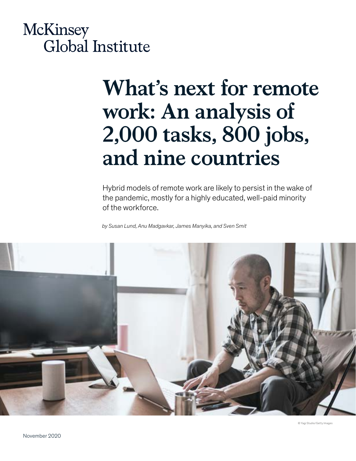# **McKinsey** Global Institute

# **What's next for remote work: An analysis of 2,000 tasks, 800 jobs, and nine countries**

Hybrid models of remote work are likely to persist in the wake of the pandemic, mostly for a highly educated, well-paid minority of the workforce.

*by Susan Lund, Anu Madgavkar, James Manyika, and Sven Smit*

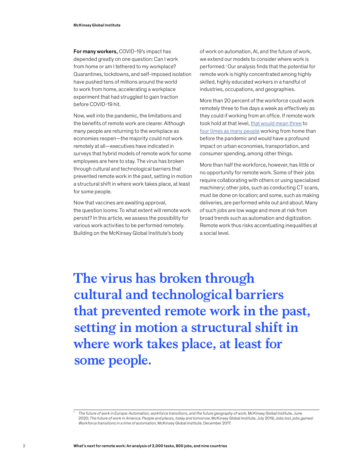For many workers, COVID-19's impact has depended greatly on one question: Can I work from home or am I tethered to my workplace? Quarantines, lockdowns, and self-imposed isolation have pushed tens of millions around the world to work from home, accelerating a workplace experiment that had struggled to gain traction before COVID-19 hit.

Now, well into the pandemic, the limitations and the benefits of remote work are clearer. Although many people are returning to the workplace as economies reopen—the majority could not work remotely at all—executives have indicated in surveys that hybrid models of remote work for some employees are here to stay. The virus has broken through cultural and technological barriers that prevented remote work in the past, setting in motion a structural shift in where work takes place, at least for some people.

Now that vaccines are awaiting approval, the question looms: To what extent will remote work persist? In this article, we assess the possibility for various work activities to be performed remotely. Building on the McKinsey Global Institute's body

of work on automation, AI, and the future of work, we extend our models to consider where work is performed.<sup>1</sup> Our analysis finds that the potential for remote work is highly concentrated among highly skilled, highly educated workers in a handful of industries, occupations, and geographies.

More than 20 percent of the workforce could work remotely three to five days a week as effectively as they could if working from an office. If remote work took hold at that level, [that would mean three](https://www.pewresearch.org/fact-tank/2020/03/20/before-the-coronavirus-telework-was-an-optional-benefit-mostly-for-the-affluent-few/#:~:text=Before%20the%20coronavirus%2C%20telework%20was,mostly%20for%20the%20affluent%20few&text=Along%20with%20shutting%20down%20sports,people%20to%20work%20from%20home.) to [four times as many people](https://ec.europa.eu/jrc/sites/jrcsh/files/jrc120945_policy_brief_-_covid_and_telework_final.pdf) working from home than before the pandemic and would have a profound impact on urban economies, transportation, and consumer spending, among other things.

More than half the workforce, however, has little or no opportunity for remote work. Some of their jobs require collaborating with others or using specialized machinery; other jobs, such as conducting CT scans, must be done on location; and some, such as making deliveries, are performed while out and about. Many of such jobs are low wage and more at risk from broad trends such as automation and digitization. Remote work thus risks accentuating inequalities at a social level.

**The virus has broken through cultural and technological barriers that prevented remote work in the past, setting in motion a structural shift in where work takes place, at least for some people.**

<sup>1</sup> *The future of work in Europe: Automation, workforce transitions, and the future geography of work*, McKinsey Global Institute, June 2020; *The future of work in America: People and places, today and tomorrow*, McKinsey Global Institute, July 2019; *Jobs lost, jobs gained: Workforce transitions in a time of automation*, McKinsey Global Institute, December 2017.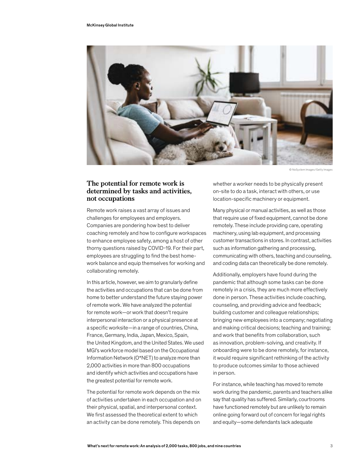

© NoSystem Images/Getty Images

#### **The potential for remote work is determined by tasks and activities, not occupations**

Remote work raises a vast array of issues and challenges for employees and employers. Companies are pondering how best to deliver coaching remotely and how to configure workspaces to enhance employee safety, among a host of other thorny questions raised by COVID-19. For their part, employees are struggling to find the best homework balance and equip themselves for working and collaborating remotely.

In this article, however, we aim to granularly define the activities and occupations that can be done from home to better understand the future staying power of remote work. We have analyzed the potential for remote work—or work that doesn't require interpersonal interaction or a physical presence at a specific worksite—in a range of countries, China, France, Germany, India, Japan, Mexico, Spain, the United Kingdom, and the United States. We used MGI's workforce model based on the Occupational Information Network (O\*NET) to analyze more than 2,000 activities in more than 800 occupations and identify which activities and occupations have the greatest potential for remote work.

The potential for remote work depends on the mix of activities undertaken in each occupation and on their physical, spatial, and interpersonal context. We first assessed the theoretical extent to which an activity can be done remotely. This depends on

whether a worker needs to be physically present on-site to do a task, interact with others, or use location-specific machinery or equipment.

Many physical or manual activities, as well as those that require use of fixed equipment, cannot be done remotely. These include providing care, operating machinery, using lab equipment, and processing customer transactions in stores. In contrast, activities such as information gathering and processing, communicating with others, teaching and counseling, and coding data can theoretically be done remotely.

Additionally, employers have found during the pandemic that although some tasks can be done remotely in a crisis, they are much more effectively done in person. These activities include coaching, counseling, and providing advice and feedback; building customer and colleague relationships; bringing new employees into a company; negotiating and making critical decisions; teaching and training; and work that benefits from collaboration, such as innovation, problem-solving, and creativity. If onboarding were to be done remotely, for instance, it would require significant rethinking of the activity to produce outcomes similar to those achieved in person.

For instance, while teaching has moved to remote work during the pandemic, parents and teachers alike say that quality has suffered. Similarly, courtrooms have functioned remotely but are unlikely to remain online going forward out of concern for legal rights and equity—some defendants lack adequate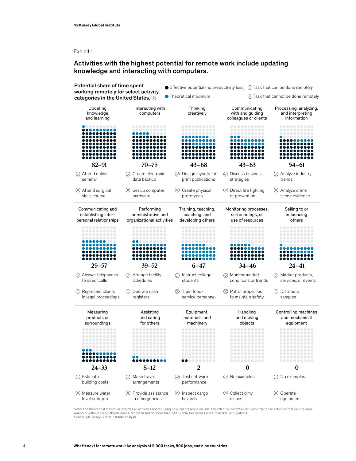Exhibit 1

#### Activities with the highest potential for remote work include updating knowledge and interacting with computers.



Note: The theoretical maximum includes all activities not requiring physical presence on-site; the effective potential includes only those activities that can be done remotely without losing effectiveness. Model based on more than 2,000 activities across more than 800 occupations. Source: McKinsey Global Institute analysis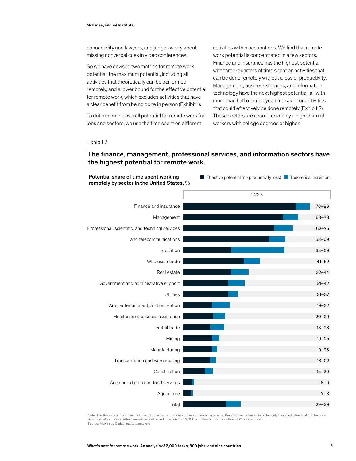connectivity and lawyers, and judges worry about missing nonverbal cues in video conferences.

So we have devised two metrics for remote work potential: the maximum potential, including all activities that theoretically can be performed remotely, and a lower bound for the effective potential for remote work, which excludes activities that have a clear benefit from being done in person (Exhibit 1).

To determine the overall potential for remote work for jobs and sectors, we use the time spent on different

activities within occupations. We find that remote work potential is concentrated in a few sectors. Finance and insurance has the highest potential, with three-quarters of time spent on activities that can be done remotely without a loss of productivity. Management, business services, and information technology have the next highest potential, all with more than half of employee time spent on activities that could effectively be done remotely (Exhibit 2). These sectors are characterized by a high share of workers with college degrees or higher.

Exhibit 2

## The finance, management, professional services, and information sectors have the highest potential for remote work.



Note: The theoretical maximum includes all activities not requiring physical presence on-site; the effective potential includes only those activities that can be done remotely without losing effectiveness. Model based on more than 2,000 activities across more than 800 occupations. Source: McKinsey Global Institute analysis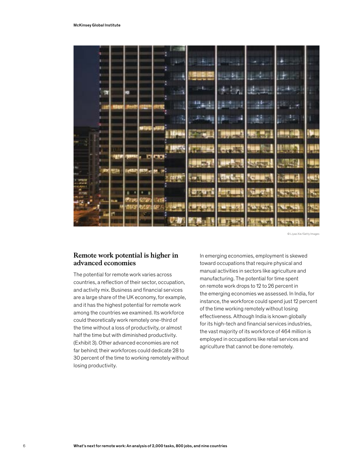

© Liyao Xie/Getty Images

#### **Remote work potential is higher in advanced economies**

The potential for remote work varies across countries, a reflection of their sector, occupation, and activity mix. Business and financial services are a large share of the UK economy, for example, and it has the highest potential for remote work among the countries we examined. Its workforce could theoretically work remotely one-third of the time without a loss of productivity, or almost half the time but with diminished productivity. (Exhibit 3). Other advanced economies are not far behind; their workforces could dedicate 28 to 30 percent of the time to working remotely without losing productivity.

In emerging economies, employment is skewed toward occupations that require physical and manual activities in sectors like agriculture and manufacturing. The potential for time spent on remote work drops to 12 to 26 percent in the emerging economies we assessed. In India, for instance, the workforce could spend just 12 percent of the time working remotely without losing effectiveness. Although India is known globally for its high-tech and financial services industries, the vast majority of its workforce of 464 million is employed in occupations like retail services and agriculture that cannot be done remotely.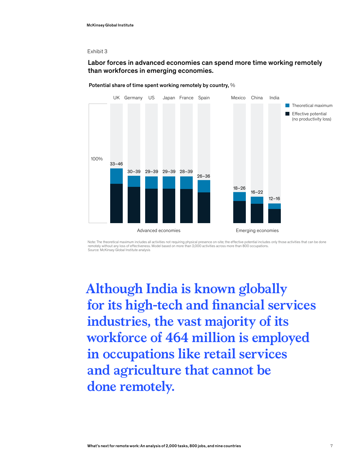#### Exhibit 3

#### Labor forces in advanced economies can spend more time working remotely than workforces in emerging economies.



#### Potential share of time spent working remotely by country, %

Note: The theoretical maximum includes all activities not requiring physical presence on-site; the effective potential includes only those activities that can be done<br>remotely without any loss of effectiveness. Model based Source: McKinsey Global Institute analysis

**Although India is known globally for its high-tech and financial services industries, the vast majority of its workforce of 464 million is employed in occupations like retail services and agriculture that cannot be done remotely.**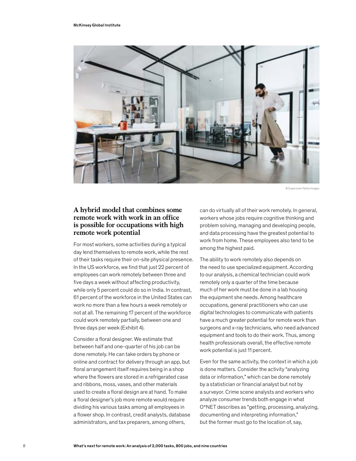

© Supersizer/Getty Images

#### **A hybrid model that combines some remote work with work in an office is possible for occupations with high remote work potential**

For most workers, some activities during a typical day lend themselves to remote work, while the rest of their tasks require their on-site physical presence. In the US workforce, we find that just 22 percent of employees can work remotely between three and five days a week without affecting productivity, while only 5 percent could do so in India. In contrast, 61 percent of the workforce in the United States can work no more than a few hours a week remotely or not at all. The remaining 17 percent of the workforce could work remotely partially, between one and three days per week (Exhibit 4).

Consider a floral designer. We estimate that between half and one-quarter of his job can be done remotely. He can take orders by phone or online and contract for delivery through an app, but floral arrangement itself requires being in a shop where the flowers are stored in a refrigerated case and ribbons, moss, vases, and other materials used to create a floral design are at hand. To make a floral designer's job more remote would require dividing his various tasks among all employees in a flower shop. In contrast, credit analysts, database administrators, and tax preparers, among others,

can do virtually all of their work remotely. In general, workers whose jobs require cognitive thinking and problem solving, managing and developing people, and data processing have the greatest potential to work from home. These employees also tend to be among the highest paid.

The ability to work remotely also depends on the need to use specialized equipment. According to our analysis, a chemical technician could work remotely only a quarter of the time because much of her work must be done in a lab housing the equipment she needs. Among healthcare occupations, general practitioners who can use digital technologies to communicate with patients have a much greater potential for remote work than surgeons and x-ray technicians, who need advanced equipment and tools to do their work. Thus, among health professionals overall, the effective remote work potential is just 11 percent.

Even for the same activity, the context in which a job is done matters. Consider the activity "analyzing data or information," which can be done remotely by a statistician or financial analyst but not by a surveyor. Crime scene analysts and workers who analyze consumer trends both engage in what O\*NET describes as "getting, processing, analyzing, documenting and interpreting information," but the former must go to the location of, say,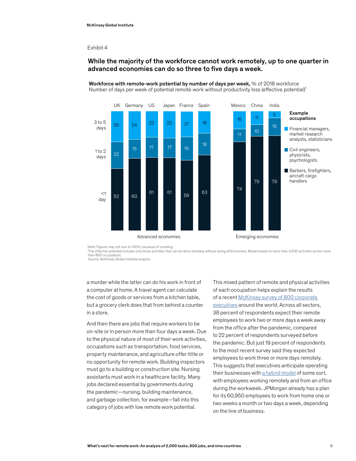#### Exhibit 4

#### While the majority of the workforce cannot work remotely, up to one quarter in advanced economies can do so three to five days a week.



Workforce with remote-work potential by number of days per week, % of 2018 workforce Number of days per week of potential remote work without productivity loss (effective potential)<sup>1</sup>

Note: Figures may not sum to 100%, because of rounding.

<sup>1</sup>The effective potential includes only those activities that can be done remotely without losing effectiveness. Model based on more than 2,000 activities across more than 800 occupations.

Source: McKinsey Global Institute analysis

a murder while the latter can do his work in front of a computer at home. A travel agent can calculate the cost of goods or services from a kitchen table, but a grocery clerk does that from behind a counter in a store.

And then there are jobs that require workers to be on-site or in person more than four days a week. Due to the physical nature of most of their work activities, occupations such as transportation, food services, property maintenance, and agriculture offer little or no opportunity for remote work. Building inspectors must go to a building or construction site. Nursing assistants must work in a healthcare facility. Many jobs declared essential by governments during the pandemic—nursing, building maintenance, and garbage collection, for example—fall into this category of jobs with low remote work potential.

This mixed pattern of remote and physical activities of each occupation helps explain the results of a recent [McKinsey survey of 800 corporate](https://www.mckinsey.com/featured-insights/future-of-work/what-800-executives-envision-for-the-postpandemic-workforce)  [executives](https://www.mckinsey.com/featured-insights/future-of-work/what-800-executives-envision-for-the-postpandemic-workforce) around the world. Across all sectors, 38 percent of respondents expect their remote employees to work two or more days a week away from the office after the pandemic, compared to 22 percent of respondents surveyed before the pandemic. But just 19 percent of respondents to the most recent survey said they expected employees to work three or more days remotely. This suggests that executives anticipate operating their businesses with [a hybrid model](https://www.mckinsey.com/business-functions/organization/our-insights/reimagining-the-postpandemic-workforce) of some sort, with employees working remotely and from an office during the workweek. JPMorgan already has a plan for its 60,950 employees to work from home one or two weeks a month or two days a week, depending on the line of business.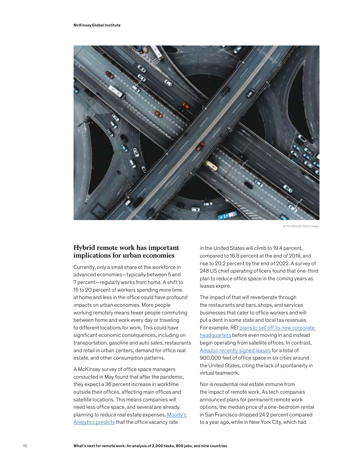

© YIN WENJIE/Getty Image

#### **Hybrid remote work has important implications for urban economies**

Currently, only a small share of the workforce in advanced economies—typically between 5 and 7 percent—regularly works from home. A shift to 15 to 20 percent of workers spending more time at home and less in the office could have profound impacts on urban economies. More people working remotely means fewer people commuting between home and work every day or traveling to different locations for work. This could have significant economic consequences, including on transportation, gasoline and auto sales, restaurants and retail in urban centers, demand for office real estate, and other consumption patterns.

A McKinsey survey of office space managers conducted in May found that after the pandemic, they expect a 36 percent increase in worktime outside their offices, affecting main offices and satellite locations. This means companies will need less office space, and several are already planning to reduce real estate expenses. [Moody's](https://www.usatoday.com/story/money/2020/07/13/jobs-home-more-people-telecommute-office-market-could-shrivel/5410812002/)  [Analytics predicts](https://www.usatoday.com/story/money/2020/07/13/jobs-home-more-people-telecommute-office-market-could-shrivel/5410812002/) that the office vacancy rate

in the United States will climb to 19.4 percent, compared to 16.8 percent at the end of 2019, and rise to 20.2 percent by the end of 2022. A survey of 248 US chief operating officers found that one-third plan to reduce office space in the coming years as leases expire.

The impact of that will reverberate through the restaurants and bars, shops, and services businesses that cater to office workers and will put a dent in some state and local tax revenues. For example, REI [plans to sell off its new corporate](https://www.washingtonpost.com/business/2020/08/12/rei-seattle-headquarters-commercial-real-estate/)  [headquarters](https://www.washingtonpost.com/business/2020/08/12/rei-seattle-headquarters-commercial-real-estate/) before even moving in and instead begin operating from satellite offices. In contrast, [Amazon recently signed leases](https://www.wsj.com/articles/amazon-bets-on-office-based-work-with-expansion-in-major-cities-11597741203?mod=hp_lead_pos2) for a total of 900,000 feet of office space in six cities around the United States, citing the lack of spontaneity in virtual teamwork.

Nor is residential real estate immune from the impact of remote work. As tech companies announced plans for permanent remote work options, the median price of a one-bedroom rental in San Francisco dropped 24.2 percent compared to a year ago, while in New York City, which had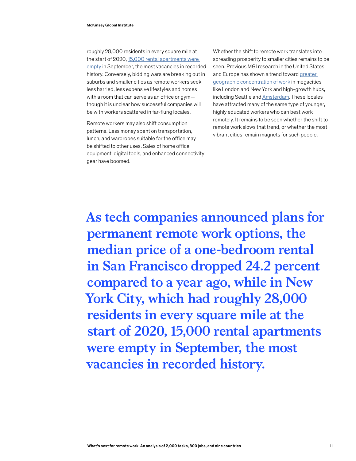roughly 28,000 residents in every square mile at the start of 2020, 15,000 rental apartments were [empty](https://www.cnbc.com/2020/09/10/manhattan-rental-market-plunges-leaving-15000-empty-apartments.html) in September, the most vacancies in recorded history. Conversely, bidding wars are breaking out in suburbs and smaller cities as remote workers seek less harried, less expensive lifestyles and homes with a room that can serve as an office or gym though it is unclear how successful companies will be with workers scattered in far-flung locales.

Remote workers may also shift consumption patterns. Less money spent on transportation, lunch, and wardrobes suitable for the office may be shifted to other uses. Sales of home office equipment, digital tools, and enhanced connectivity gear have boomed.

Whether the shift to remote work translates into spreading prosperity to smaller cities remains to be seen. Previous MGI research in the United States and Europe has shown a trend toward [greater](https://www.mckinsey.com/featured-insights/future-of-work/the-future-of-work-in-america-people-and-places-today-and-tomorrow)  [geographic concentration of work](https://www.mckinsey.com/featured-insights/future-of-work/the-future-of-work-in-america-people-and-places-today-and-tomorrow) in megacities like London and New York and high-growth hubs, including Seattle and [Amsterdam](https://www.mckinsey.com/featured-insights/future-of-work/the-future-of-work-in-europe). These locales have attracted many of the same type of younger, highly educated workers who can best work remotely. It remains to be seen whether the shift to remote work slows that trend, or whether the most vibrant cities remain magnets for such people.

**As tech companies announced plans for permanent remote work options, the median price of a one-bedroom rental in San Francisco dropped 24.2 percent compared to a year ago, while in New York City, which had roughly 28,000 residents in every square mile at the start of 2020, [15,000 rental apartments](https://www.cnbc.com/2020/09/10/manhattan-rental-market-plunges-leaving-15000-empty-apartments.html)  [were empty](https://www.cnbc.com/2020/09/10/manhattan-rental-market-plunges-leaving-15000-empty-apartments.html) in September, the most vacancies in recorded history.**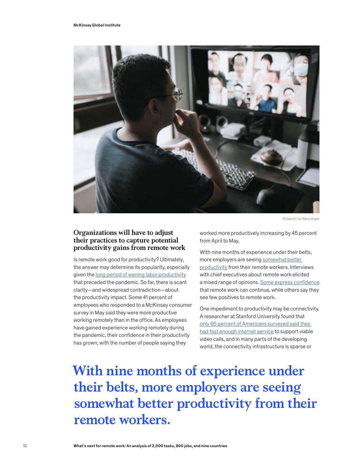

© Chee Gin Tan/Getty Image

### **Organizations will have to adjust their practices to capture potential productivity gains from remote work**

Is remote work good for productivity? Ultimately, the answer may determine its popularity, especially given the [long period of waning labor productivity](https://www.mckinsey.com/~/media/mckinsey/featured insights/meeting societys expectations/solving the productivity puzzle/mg-solving-the-productivity-puzzle--report-february-2018.ashx) that preceded the pandemic. So far, there is scant clarity—and widespread contradiction—about the productivity impact. Some 41 percent of employees who responded to a McKinsey consumer survey in May said they were more productive working remotely than in the office. As employees have gained experience working remotely during the pandemic, their confidence in their productivity has grown, with the number of people saying they

worked more productively increasing by 45 percent from April to May.

With nine months of experience under their belts, more employers are seeing [somewhat better](https://conference-board.org/pdfdownload.cfm?masterProductID=20874)  [productivity](https://conference-board.org/pdfdownload.cfm?masterProductID=20874) from their remote workers. Interviews with chief executives about remote work elicited a mixed range of opinions. [Some express confidence](https://www.wsj.com/articles/what-ceos-really-think-about-remote-work-11600853405) that remote work can continue, while others say they see few positives to remote work.

One impediment to productivity may be connectivity. A researcher at Stanford University found that only 65 percent of Americans surveyed said they [had fast enough internet service](https://news.stanford.edu/2020/06/29/snapshot-new-working-home-economy/) to support viable video calls, and in many parts of the developing world, the connectivity infrastructure is sparse or

**With nine months of experience under their belts, more employers are seeing [somewhat better productivity](https://conference-board.org/pdfdownload.cfm?masterProductID=20874) from their remote workers.**